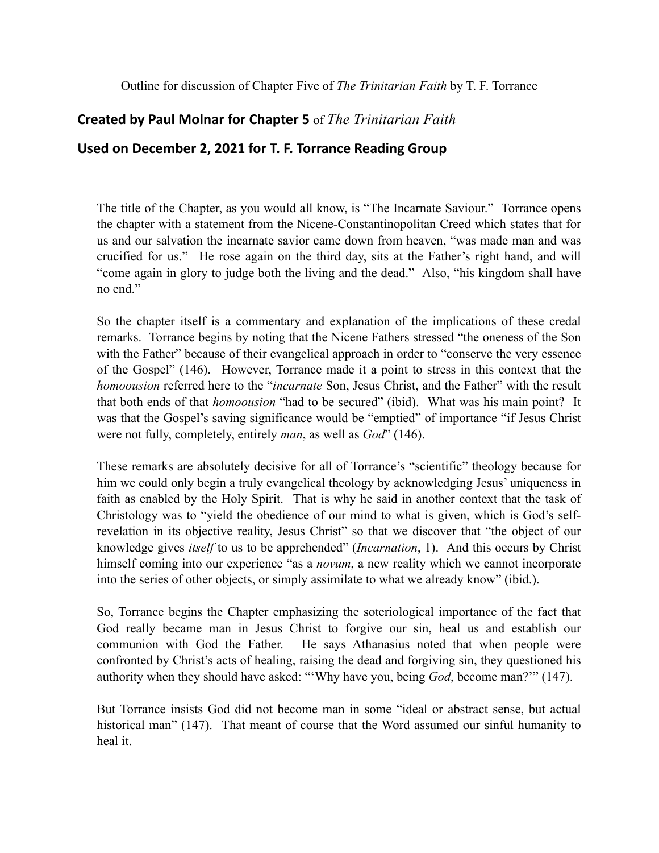Outline for discussion of Chapter Five of *The Trinitarian Faith* by T. F. Torrance

## **Created by Paul Molnar for Chapter 5** of *The Trinitarian Faith*

## Used on December 2, 2021 for T. F. Torrance Reading Group

The title of the Chapter, as you would all know, is "The Incarnate Saviour." Torrance opens the chapter with a statement from the Nicene-Constantinopolitan Creed which states that for us and our salvation the incarnate savior came down from heaven, "was made man and was crucified for us." He rose again on the third day, sits at the Father's right hand, and will "come again in glory to judge both the living and the dead." Also, "his kingdom shall have no end."

So the chapter itself is a commentary and explanation of the implications of these credal remarks. Torrance begins by noting that the Nicene Fathers stressed "the oneness of the Son with the Father" because of their evangelical approach in order to "conserve the very essence of the Gospel" (146). However, Torrance made it a point to stress in this context that the *homoousion* referred here to the "*incarnate* Son, Jesus Christ, and the Father" with the result that both ends of that *homoousion* "had to be secured" (ibid). What was his main point? It was that the Gospel's saving significance would be "emptied" of importance "if Jesus Christ were not fully, completely, entirely *man*, as well as *God*" (146).

These remarks are absolutely decisive for all of Torrance's "scientific" theology because for him we could only begin a truly evangelical theology by acknowledging Jesus' uniqueness in faith as enabled by the Holy Spirit. That is why he said in another context that the task of Christology was to "yield the obedience of our mind to what is given, which is God's selfrevelation in its objective reality, Jesus Christ" so that we discover that "the object of our knowledge gives *itself* to us to be apprehended" (*Incarnation*, 1). And this occurs by Christ himself coming into our experience "as a *novum*, a new reality which we cannot incorporate into the series of other objects, or simply assimilate to what we already know" (ibid.).

So, Torrance begins the Chapter emphasizing the soteriological importance of the fact that God really became man in Jesus Christ to forgive our sin, heal us and establish our communion with God the Father. He says Athanasius noted that when people were confronted by Christ's acts of healing, raising the dead and forgiving sin, they questioned his authority when they should have asked: "'Why have you, being *God*, become man?'" (147).

But Torrance insists God did not become man in some "ideal or abstract sense, but actual historical man" (147). That meant of course that the Word assumed our sinful humanity to heal it.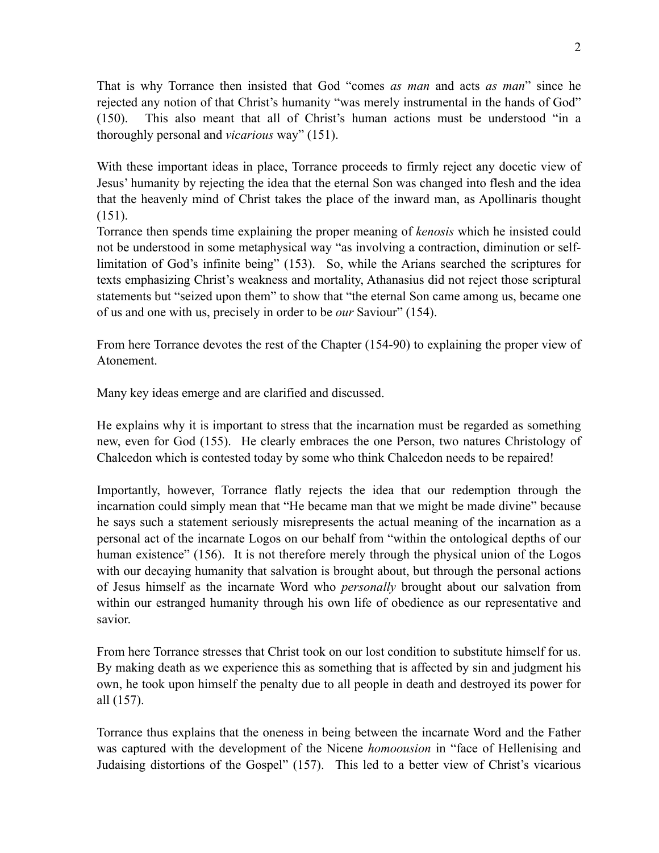That is why Torrance then insisted that God "comes *as man* and acts *as man*" since he rejected any notion of that Christ's humanity "was merely instrumental in the hands of God" (150). This also meant that all of Christ's human actions must be understood "in a thoroughly personal and *vicarious* way" (151).

With these important ideas in place, Torrance proceeds to firmly reject any docetic view of Jesus' humanity by rejecting the idea that the eternal Son was changed into flesh and the idea that the heavenly mind of Christ takes the place of the inward man, as Apollinaris thought  $(151)$ .

Torrance then spends time explaining the proper meaning of *kenosis* which he insisted could not be understood in some metaphysical way "as involving a contraction, diminution or selflimitation of God's infinite being" (153). So, while the Arians searched the scriptures for texts emphasizing Christ's weakness and mortality, Athanasius did not reject those scriptural statements but "seized upon them" to show that "the eternal Son came among us, became one of us and one with us, precisely in order to be *our* Saviour" (154).

From here Torrance devotes the rest of the Chapter (154-90) to explaining the proper view of Atonement.

Many key ideas emerge and are clarified and discussed.

He explains why it is important to stress that the incarnation must be regarded as something new, even for God (155). He clearly embraces the one Person, two natures Christology of Chalcedon which is contested today by some who think Chalcedon needs to be repaired!

Importantly, however, Torrance flatly rejects the idea that our redemption through the incarnation could simply mean that "He became man that we might be made divine" because he says such a statement seriously misrepresents the actual meaning of the incarnation as a personal act of the incarnate Logos on our behalf from "within the ontological depths of our human existence" (156). It is not therefore merely through the physical union of the Logos with our decaying humanity that salvation is brought about, but through the personal actions of Jesus himself as the incarnate Word who *personally* brought about our salvation from within our estranged humanity through his own life of obedience as our representative and savior.

From here Torrance stresses that Christ took on our lost condition to substitute himself for us. By making death as we experience this as something that is affected by sin and judgment his own, he took upon himself the penalty due to all people in death and destroyed its power for all (157).

Torrance thus explains that the oneness in being between the incarnate Word and the Father was captured with the development of the Nicene *homoousion* in "face of Hellenising and Judaising distortions of the Gospel" (157). This led to a better view of Christ's vicarious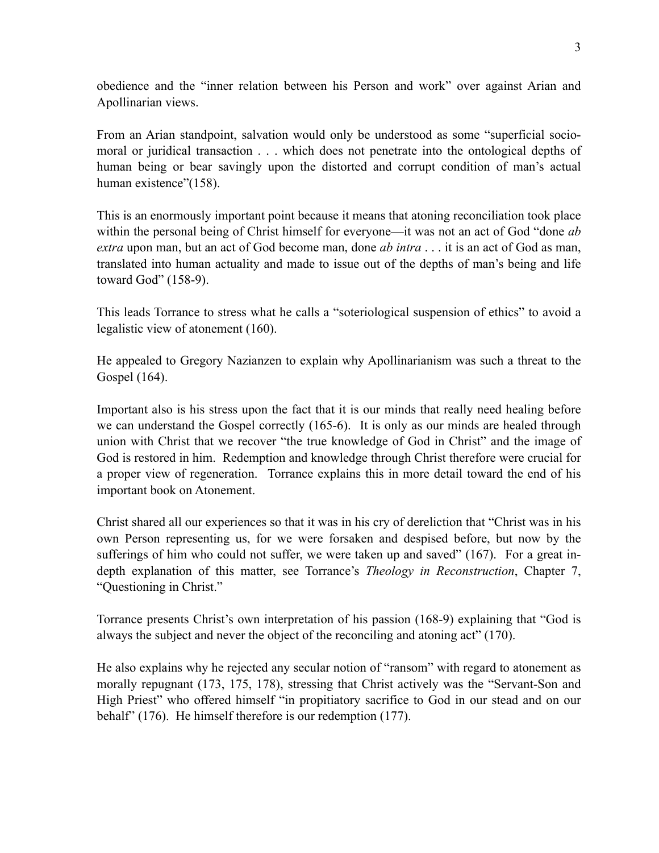obedience and the "inner relation between his Person and work" over against Arian and Apollinarian views.

From an Arian standpoint, salvation would only be understood as some "superficial sociomoral or juridical transaction . . . which does not penetrate into the ontological depths of human being or bear savingly upon the distorted and corrupt condition of man's actual human existence"(158).

This is an enormously important point because it means that atoning reconciliation took place within the personal being of Christ himself for everyone—it was not an act of God "done *ab extra* upon man, but an act of God become man, done *ab intra* . . . it is an act of God as man, translated into human actuality and made to issue out of the depths of man's being and life toward God" (158-9).

This leads Torrance to stress what he calls a "soteriological suspension of ethics" to avoid a legalistic view of atonement (160).

He appealed to Gregory Nazianzen to explain why Apollinarianism was such a threat to the Gospel (164).

Important also is his stress upon the fact that it is our minds that really need healing before we can understand the Gospel correctly (165-6). It is only as our minds are healed through union with Christ that we recover "the true knowledge of God in Christ" and the image of God is restored in him. Redemption and knowledge through Christ therefore were crucial for a proper view of regeneration. Torrance explains this in more detail toward the end of his important book on Atonement.

Christ shared all our experiences so that it was in his cry of dereliction that "Christ was in his own Person representing us, for we were forsaken and despised before, but now by the sufferings of him who could not suffer, we were taken up and saved" (167). For a great indepth explanation of this matter, see Torrance's *Theology in Reconstruction*, Chapter 7, "Questioning in Christ."

Torrance presents Christ's own interpretation of his passion (168-9) explaining that "God is always the subject and never the object of the reconciling and atoning act" (170).

He also explains why he rejected any secular notion of "ransom" with regard to atonement as morally repugnant (173, 175, 178), stressing that Christ actively was the "Servant-Son and High Priest" who offered himself "in propitiatory sacrifice to God in our stead and on our behalf" (176). He himself therefore is our redemption (177).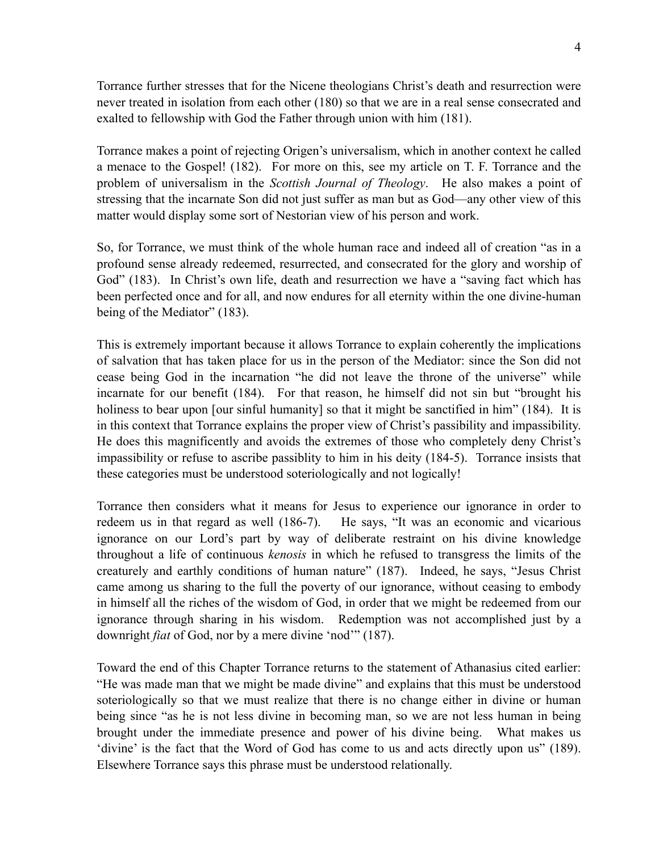Torrance further stresses that for the Nicene theologians Christ's death and resurrection were never treated in isolation from each other (180) so that we are in a real sense consecrated and exalted to fellowship with God the Father through union with him (181).

Torrance makes a point of rejecting Origen's universalism, which in another context he called a menace to the Gospel! (182). For more on this, see my article on T. F. Torrance and the problem of universalism in the *Scottish Journal of Theology*. He also makes a point of stressing that the incarnate Son did not just suffer as man but as God—any other view of this matter would display some sort of Nestorian view of his person and work.

So, for Torrance, we must think of the whole human race and indeed all of creation "as in a profound sense already redeemed, resurrected, and consecrated for the glory and worship of God" (183). In Christ's own life, death and resurrection we have a "saving fact which has been perfected once and for all, and now endures for all eternity within the one divine-human being of the Mediator" (183).

This is extremely important because it allows Torrance to explain coherently the implications of salvation that has taken place for us in the person of the Mediator: since the Son did not cease being God in the incarnation "he did not leave the throne of the universe" while incarnate for our benefit (184). For that reason, he himself did not sin but "brought his holiness to bear upon [our sinful humanity] so that it might be sanctified in him" (184). It is in this context that Torrance explains the proper view of Christ's passibility and impassibility. He does this magnificently and avoids the extremes of those who completely deny Christ's impassibility or refuse to ascribe passiblity to him in his deity (184-5). Torrance insists that these categories must be understood soteriologically and not logically!

Torrance then considers what it means for Jesus to experience our ignorance in order to redeem us in that regard as well (186-7). He says, "It was an economic and vicarious ignorance on our Lord's part by way of deliberate restraint on his divine knowledge throughout a life of continuous *kenosis* in which he refused to transgress the limits of the creaturely and earthly conditions of human nature" (187). Indeed, he says, "Jesus Christ came among us sharing to the full the poverty of our ignorance, without ceasing to embody in himself all the riches of the wisdom of God, in order that we might be redeemed from our ignorance through sharing in his wisdom. Redemption was not accomplished just by a downright *fiat* of God, nor by a mere divine 'nod'" (187).

Toward the end of this Chapter Torrance returns to the statement of Athanasius cited earlier: "He was made man that we might be made divine" and explains that this must be understood soteriologically so that we must realize that there is no change either in divine or human being since "as he is not less divine in becoming man, so we are not less human in being brought under the immediate presence and power of his divine being. What makes us 'divine' is the fact that the Word of God has come to us and acts directly upon us" (189). Elsewhere Torrance says this phrase must be understood relationally.